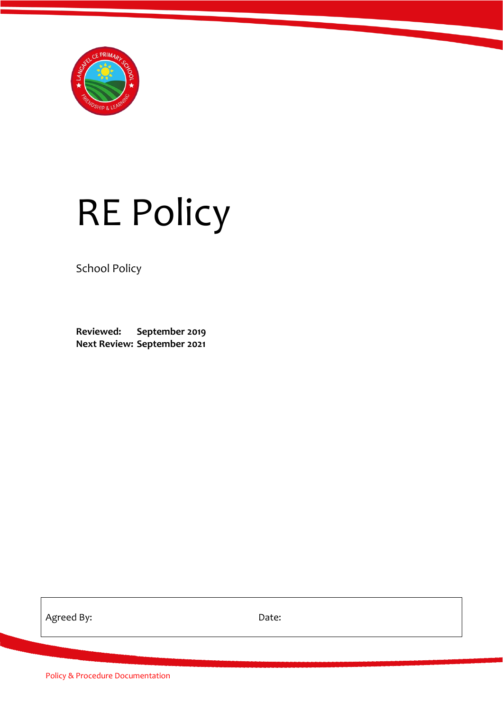

# RE Policy

School Policy

**Reviewed: September 2019 Next Review: September 2021**

Agreed By: The Date: Date:

Policy & Procedure Documentation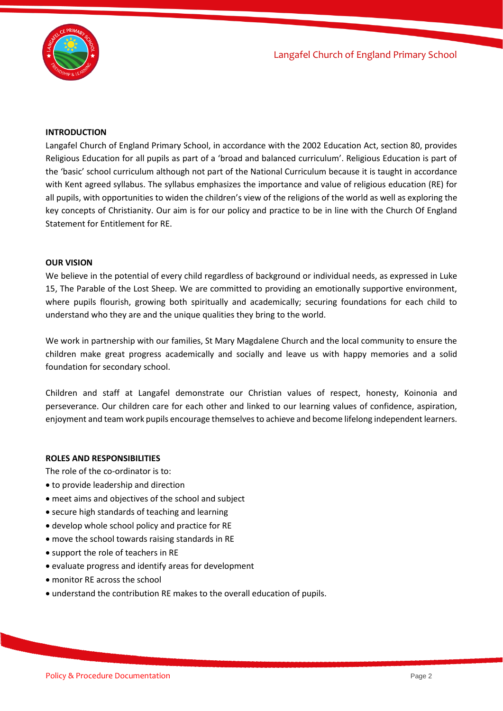

# **INTRODUCTION**

Langafel Church of England Primary School, in accordance with the 2002 Education Act, section 80, provides Religious Education for all pupils as part of a 'broad and balanced curriculum'. Religious Education is part of the 'basic' school curriculum although not part of the National Curriculum because it is taught in accordance with Kent agreed syllabus. The syllabus emphasizes the importance and value of religious education (RE) for all pupils, with opportunities to widen the children's view of the religions of the world as well as exploring the key concepts of Christianity. Our aim is for our policy and practice to be in line with the Church Of England Statement for Entitlement for RE.

#### **OUR VISION**

We believe in the potential of every child regardless of background or individual needs, as expressed in Luke 15, The Parable of the Lost Sheep. We are committed to providing an emotionally supportive environment, where pupils flourish, growing both spiritually and academically; securing foundations for each child to understand who they are and the unique qualities they bring to the world.

We work in partnership with our families, St Mary Magdalene Church and the local community to ensure the children make great progress academically and socially and leave us with happy memories and a solid foundation for secondary school.

Children and staff at Langafel demonstrate our Christian values of respect, honesty, Koinonia and perseverance. Our children care for each other and linked to our learning values of confidence, aspiration, enjoyment and team work pupils encourage themselves to achieve and become lifelong independent learners.

#### **ROLES AND RESPONSIBILITIES**

The role of the co-ordinator is to:

- to provide leadership and direction
- meet aims and objectives of the school and subject
- secure high standards of teaching and learning
- develop whole school policy and practice for RE
- move the school towards raising standards in RE
- support the role of teachers in RE
- evaluate progress and identify areas for development
- monitor RE across the school
- understand the contribution RE makes to the overall education of pupils.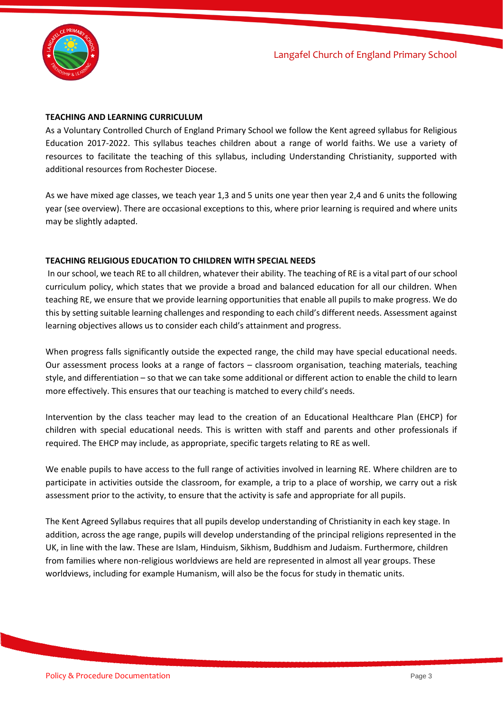

## **TEACHING AND LEARNING CURRICULUM**

As a Voluntary Controlled Church of England Primary School we follow the Kent agreed syllabus for Religious Education 2017-2022. This syllabus teaches children about a range of world faiths. We use a variety of resources to facilitate the teaching of this syllabus, including Understanding Christianity, supported with additional resources from Rochester Diocese.

As we have mixed age classes, we teach year 1,3 and 5 units one year then year 2,4 and 6 units the following year (see overview). There are occasional exceptions to this, where prior learning is required and where units may be slightly adapted.

#### **TEACHING RELIGIOUS EDUCATION TO CHILDREN WITH SPECIAL NEEDS**

In our school, we teach RE to all children, whatever their ability. The teaching of RE is a vital part of our school curriculum policy, which states that we provide a broad and balanced education for all our children. When teaching RE, we ensure that we provide learning opportunities that enable all pupils to make progress. We do this by setting suitable learning challenges and responding to each child's different needs. Assessment against learning objectives allows us to consider each child's attainment and progress.

When progress falls significantly outside the expected range, the child may have special educational needs. Our assessment process looks at a range of factors – classroom organisation, teaching materials, teaching style, and differentiation – so that we can take some additional or different action to enable the child to learn more effectively. This ensures that our teaching is matched to every child's needs.

Intervention by the class teacher may lead to the creation of an Educational Healthcare Plan (EHCP) for children with special educational needs. This is written with staff and parents and other professionals if required. The EHCP may include, as appropriate, specific targets relating to RE as well.

We enable pupils to have access to the full range of activities involved in learning RE. Where children are to participate in activities outside the classroom, for example, a trip to a place of worship, we carry out a risk assessment prior to the activity, to ensure that the activity is safe and appropriate for all pupils.

The Kent Agreed Syllabus requires that all pupils develop understanding of Christianity in each key stage. In addition, across the age range, pupils will develop understanding of the principal religions represented in the UK, in line with the law. These are Islam, Hinduism, Sikhism, Buddhism and Judaism. Furthermore, children from families where non-religious worldviews are held are represented in almost all year groups. These worldviews, including for example Humanism, will also be the focus for study in thematic units.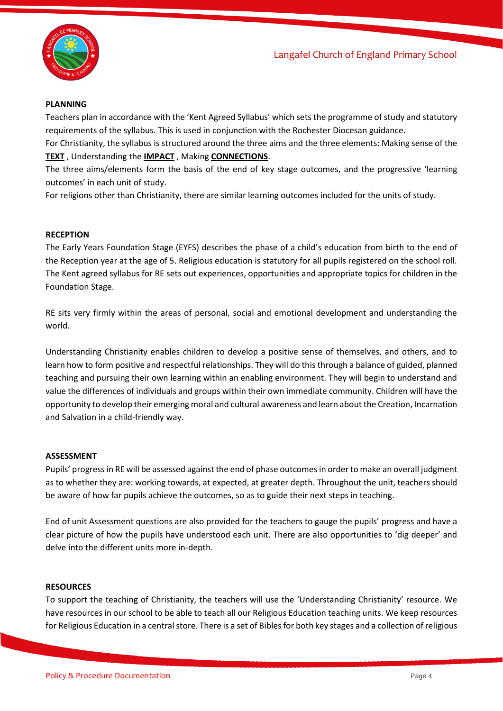

#### **PLANNING**

Teachers plan in accordance with the 'Kent Agreed Syllabus' which sets the programme of study and statutory requirements of the syllabus. This is used in conjunction with the Rochester Diocesan guidance.

For Christianity, the syllabus is structured around the three aims and the three elements: Making sense of the **TEXT** , Understanding the **IMPACT** , Making **CONNECTIONS**.

The three aims/elements form the basis of the end of key stage outcomes, and the progressive 'learning outcomes' in each unit of study.

For religions other than Christianity, there are similar learning outcomes included for the units of study.

#### **RECEPTION**

The Early Years Foundation Stage (EYFS) describes the phase of a child's education from birth to the end of the Reception year at the age of 5. Religious education is statutory for all pupils registered on the school roll. The Kent agreed syllabus for RE sets out experiences, opportunities and appropriate topics for children in the Foundation Stage.

RE sits very firmly within the areas of personal, social and emotional development and understanding the world.

Understanding Christianity enables children to develop a positive sense of themselves, and others, and to learn how to form positive and respectful relationships. They will do this through a balance of guided, planned teaching and pursuing their own learning within an enabling environment. They will begin to understand and value the differences of individuals and groups within their own immediate community. Children will have the opportunity to develop their emerging moral and cultural awareness and learn about the Creation, Incarnation and Salvation in a child-friendly way.

#### **ASSESSMENT**

Pupils' progress in RE will be assessed against the end of phase outcomes in order to make an overall judgment as to whether they are: working towards, at expected, at greater depth. Throughout the unit, teachers should be aware of how far pupils achieve the outcomes, so as to guide their next steps in teaching.

End of unit Assessment questions are also provided for the teachers to gauge the pupils' progress and have a clear picture of how the pupils have understood each unit. There are also opportunities to 'dig deeper' and delve into the different units more in-depth.

#### **RESOURCES**

To support the teaching of Christianity, the teachers will use the 'Understanding Christianity' resource. We have resources in our school to be able to teach all our Religious Education teaching units. We keep resources for Religious Education in a central store. There is a set of Bibles for both key stages and a collection of religious